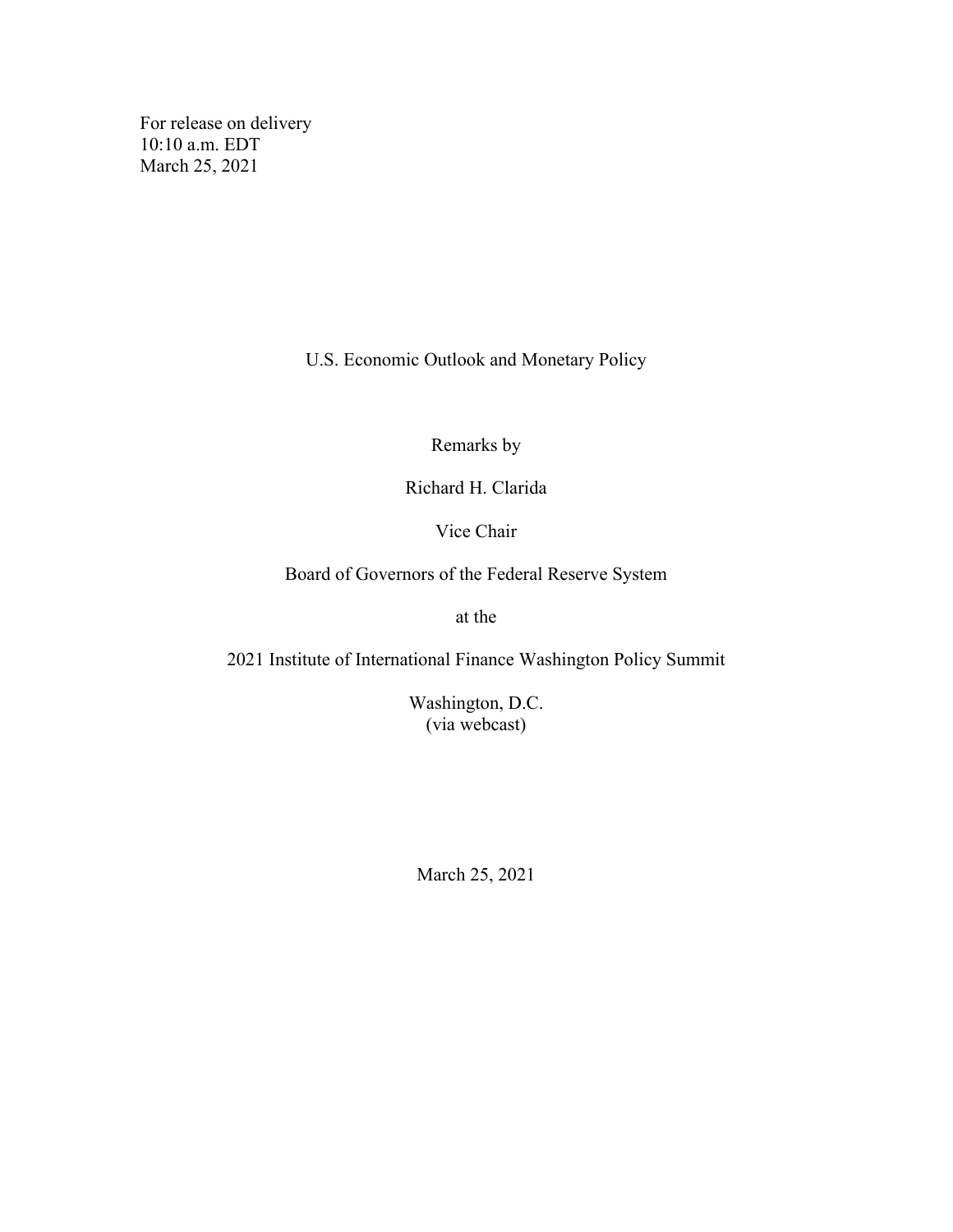For release on delivery 10:10 a.m. EDT March 25, 2021

U.S. Economic Outlook and Monetary Policy

Remarks by

Richard H. Clarida

Vice Chair

Board of Governors of the Federal Reserve System

at the

2021 Institute of International Finance Washington Policy Summit

Washington, D.C. (via webcast)

March 25, 2021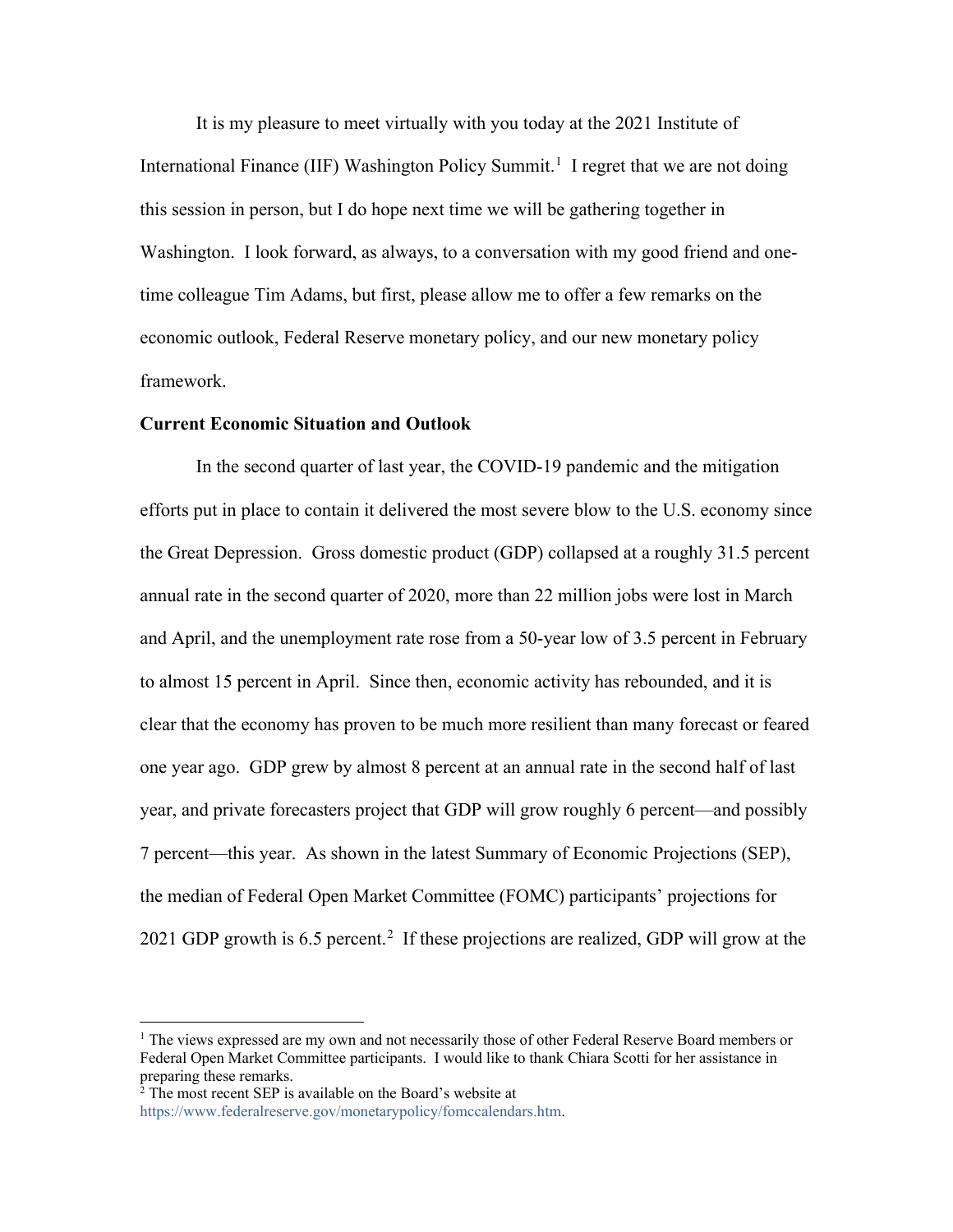It is my pleasure to meet virtually with you today at the 2021 Institute of International Finance (IIF) Washington Policy Summit.<sup>[1](#page-1-0)</sup> I regret that we are not doing this session in person, but I do hope next time we will be gathering together in Washington. I look forward, as always, to a conversation with my good friend and onetime colleague Tim Adams, but first, please allow me to offer a few remarks on the economic outlook, Federal Reserve monetary policy, and our new monetary policy framework.

## **Current Economic Situation and Outlook**

In the second quarter of last year, the COVID-19 pandemic and the mitigation efforts put in place to contain it delivered the most severe blow to the U.S. economy since the Great Depression. Gross domestic product (GDP) collapsed at a roughly 31.5 percent annual rate in the second quarter of 2020, more than 22 million jobs were lost in March and April, and the unemployment rate rose from a 50-year low of 3.5 percent in February to almost 15 percent in April. Since then, economic activity has rebounded, and it is clear that the economy has proven to be much more resilient than many forecast or feared one year ago. GDP grew by almost 8 percent at an annual rate in the second half of last year, and private forecasters project that GDP will grow roughly 6 percent—and possibly 7 percent—this year. As shown in the latest Summary of Economic Projections (SEP), the median of Federal Open Market Committee (FOMC) participants' projections for [2](#page-1-1)021 GDP growth is 6.5 percent.<sup>2</sup> If these projections are realized, GDP will grow at the

<span id="page-1-0"></span><sup>&</sup>lt;sup>1</sup> The views expressed are my own and not necessarily those of other Federal Reserve Board members or Federal Open Market Committee participants. I would like to thank Chiara Scotti for her assistance in preparing these remarks.

<span id="page-1-1"></span> $2^{\frac{1}{2}}$  The most recent SEP is available on the Board's website at

[https://www.federalreserve.gov/monetarypolicy/fomccalendars.htm.](https://www.federalreserve.gov/monetarypolicy/fomccalendars.htm)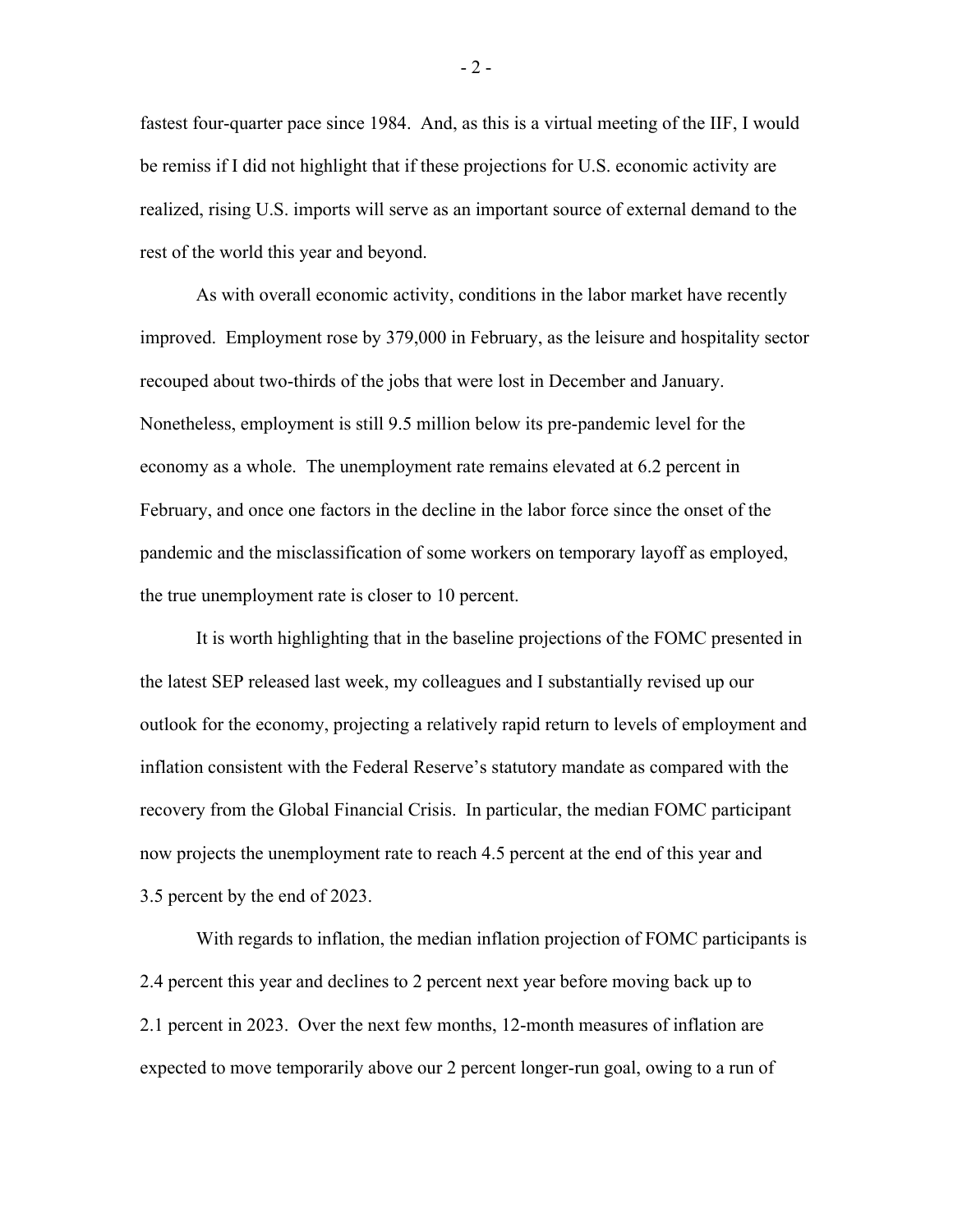fastest four-quarter pace since 1984. And, as this is a virtual meeting of the IIF, I would be remiss if I did not highlight that if these projections for U.S. economic activity are realized, rising U.S. imports will serve as an important source of external demand to the rest of the world this year and beyond.

As with overall economic activity, conditions in the labor market have recently improved. Employment rose by 379,000 in February, as the leisure and hospitality sector recouped about two-thirds of the jobs that were lost in December and January. Nonetheless, employment is still 9.5 million below its pre-pandemic level for the economy as a whole. The unemployment rate remains elevated at 6.2 percent in February, and once one factors in the decline in the labor force since the onset of the pandemic and the misclassification of some workers on temporary layoff as employed, the true unemployment rate is closer to 10 percent.

It is worth highlighting that in the baseline projections of the FOMC presented in the latest SEP released last week, my colleagues and I substantially revised up our outlook for the economy, projecting a relatively rapid return to levels of employment and inflation consistent with the Federal Reserve's statutory mandate as compared with the recovery from the Global Financial Crisis. In particular, the median FOMC participant now projects the unemployment rate to reach 4.5 percent at the end of this year and 3.5 percent by the end of 2023.

With regards to inflation, the median inflation projection of FOMC participants is 2.4 percent this year and declines to 2 percent next year before moving back up to 2.1 percent in 2023. Over the next few months, 12-month measures of inflation are expected to move temporarily above our 2 percent longer-run goal, owing to a run of

- 2 -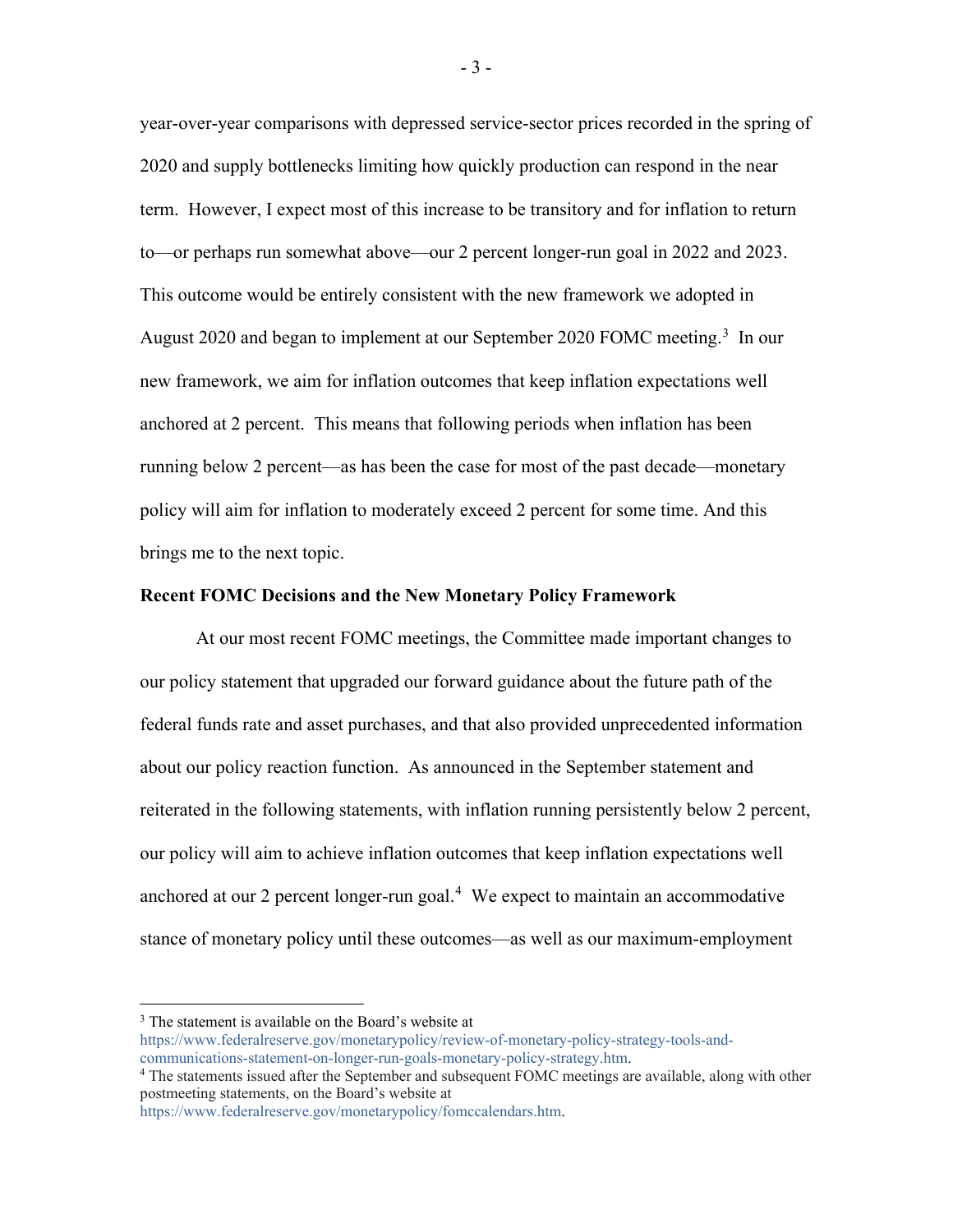year-over-year comparisons with depressed service-sector prices recorded in the spring of 2020 and supply bottlenecks limiting how quickly production can respond in the near term. However, I expect most of this increase to be transitory and for inflation to return to—or perhaps run somewhat above—our 2 percent longer-run goal in 2022 and 2023. This outcome would be entirely consistent with the new framework we adopted in August 2020 and began to implement at our September 2020 FOMC meeting.<sup>[3](#page-3-0)</sup> In our new framework, we aim for inflation outcomes that keep inflation expectations well anchored at 2 percent. This means that following periods when inflation has been running below 2 percent—as has been the case for most of the past decade—monetary policy will aim for inflation to moderately exceed 2 percent for some time. And this brings me to the next topic.

## **Recent FOMC Decisions and the New Monetary Policy Framework**

At our most recent FOMC meetings, the Committee made important changes to our policy statement that upgraded our forward guidance about the future path of the federal funds rate and asset purchases, and that also provided unprecedented information about our policy reaction function. As announced in the September statement and reiterated in the following statements, with inflation running persistently below 2 percent, our policy will aim to achieve inflation outcomes that keep inflation expectations well anchored at our 2 percent longer-run goal. $4$  We expect to maintain an accommodative stance of monetary policy until these outcomes—as well as our maximum-employment

[https://www.federalreserve.gov/monetarypolicy/review-of-monetary-policy-strategy-tools-and](https://www.federalreserve.gov/monetarypolicy/review-of-monetary-policy-strategy-tools-and-communications-statement-on-longer-run-goals-monetary-policy-strategy.htm)[communications-statement-on-longer-run-goals-monetary-policy-strategy.htm.](https://www.federalreserve.gov/monetarypolicy/review-of-monetary-policy-strategy-tools-and-communications-statement-on-longer-run-goals-monetary-policy-strategy.htm)

<span id="page-3-0"></span><sup>&</sup>lt;sup>3</sup> The statement is available on the Board's website at

<span id="page-3-1"></span><sup>4</sup> The statements issued after the September and subsequent FOMC meetings are available, along with other postmeeting statements, on the Board's website at

[https://www.federalreserve.gov/monetarypolicy/fomccalendars.htm.](https://www.federalreserve.gov/monetarypolicy/fomccalendars.htm)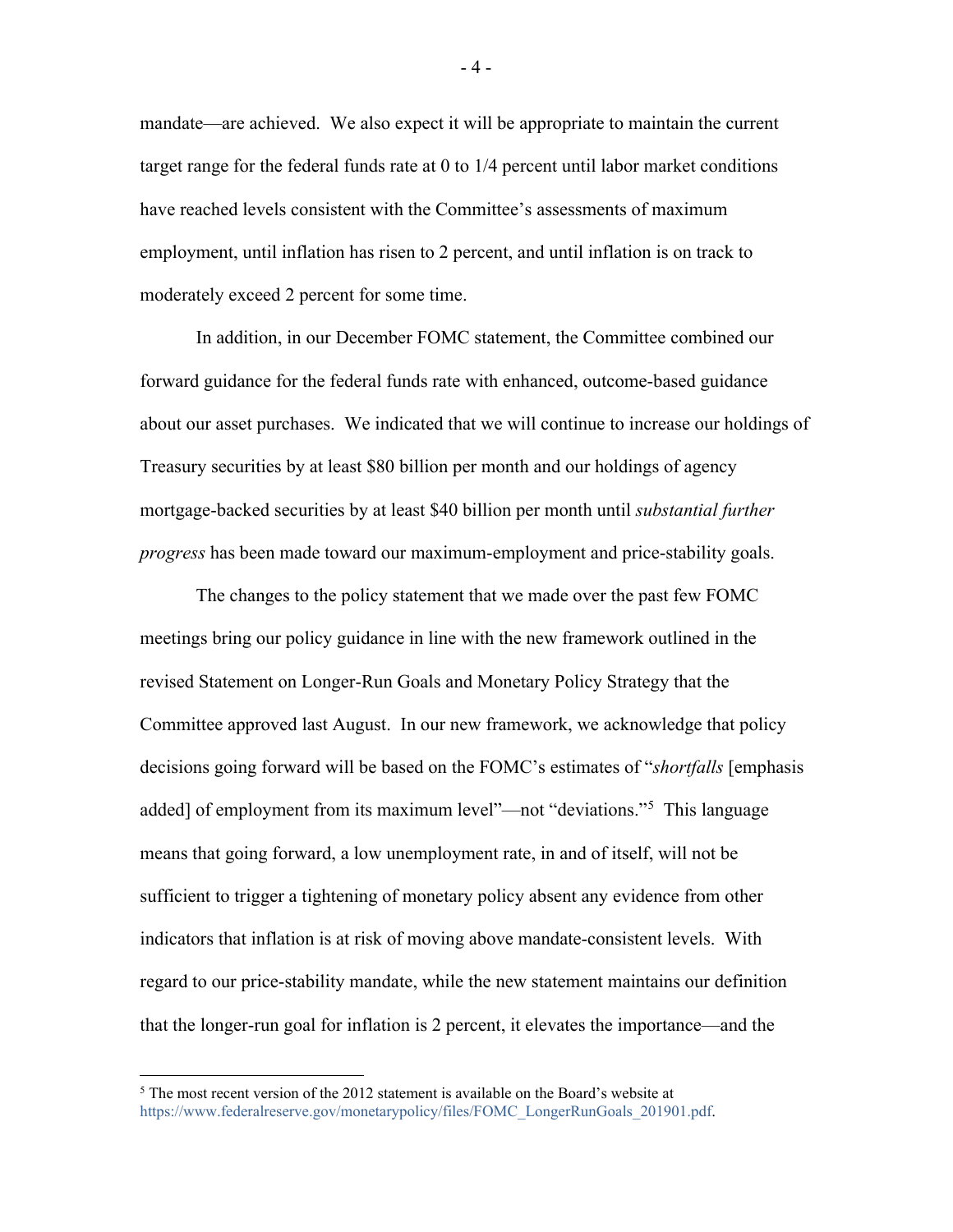mandate—are achieved. We also expect it will be appropriate to maintain the current target range for the federal funds rate at 0 to 1/4 percent until labor market conditions have reached levels consistent with the Committee's assessments of maximum employment, until inflation has risen to 2 percent, and until inflation is on track to moderately exceed 2 percent for some time.

In addition, in our December FOMC statement, the Committee combined our forward guidance for the federal funds rate with enhanced, outcome-based guidance about our asset purchases. We indicated that we will continue to increase our holdings of Treasury securities by at least \$80 billion per month and our holdings of agency mortgage-backed securities by at least \$40 billion per month until *substantial further progress* has been made toward our maximum-employment and price-stability goals.

The changes to the policy statement that we made over the past few FOMC meetings bring our policy guidance in line with the new framework outlined in the revised Statement on Longer-Run Goals and Monetary Policy Strategy that the Committee approved last August. In our new framework, we acknowledge that policy decisions going forward will be based on the FOMC's estimates of "*shortfalls* [emphasis added] of employment from its maximum level"—not "deviations."<sup>[5](#page-4-0)</sup> This language means that going forward, a low unemployment rate, in and of itself, will not be sufficient to trigger a tightening of monetary policy absent any evidence from other indicators that inflation is at risk of moving above mandate-consistent levels. With regard to our price-stability mandate, while the new statement maintains our definition that the longer-run goal for inflation is 2 percent, it elevates the importance—and the

<span id="page-4-0"></span> $5$  The most recent version of the 2012 statement is available on the Board's website at [https://www.federalreserve.gov/monetarypolicy/files/FOMC\\_LongerRunGoals\\_201901.pdf.](https://www.federalreserve.gov/monetarypolicy/files/FOMC_LongerRunGoals_201901.pdf)